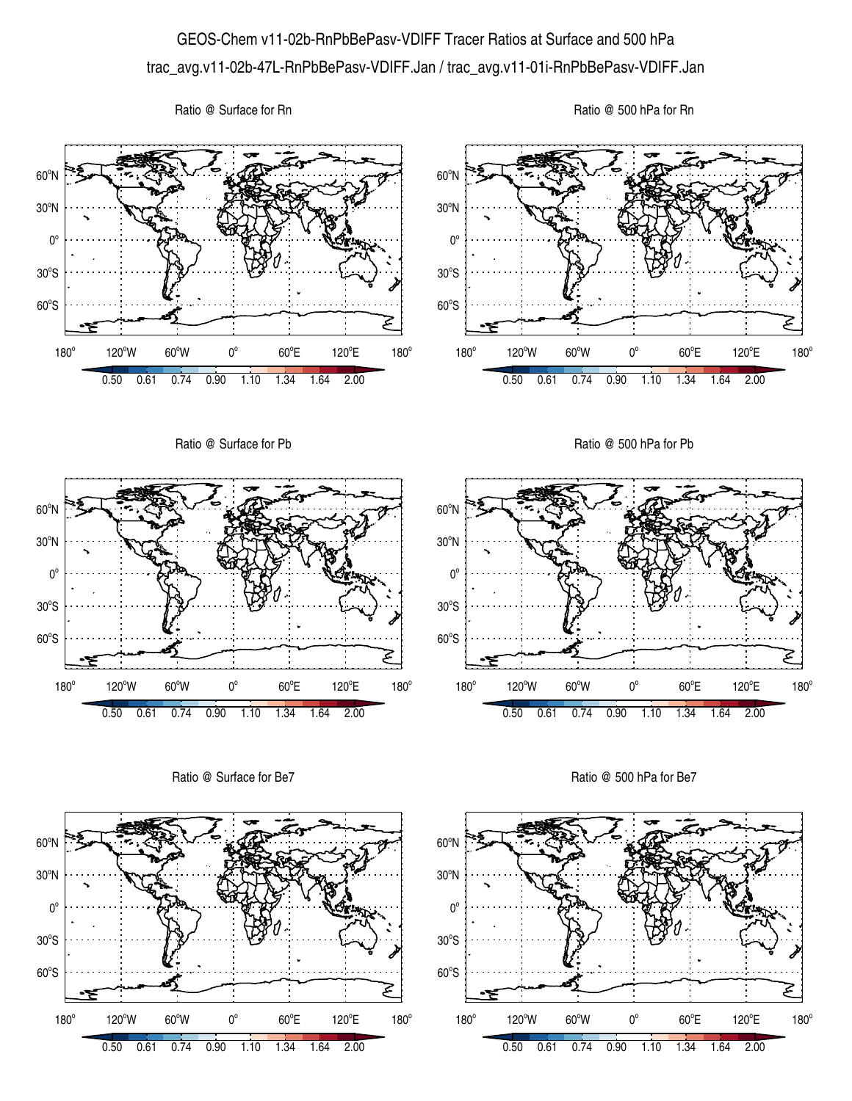## GEOS-Chem v11-02b-RnPbBePasv-VDIFF Tracer Ratios at Surface and 500 hPa trac\_avg.v11-02b-47L-RnPbBePasv-VDIFF.Jan / trac\_avg.v11-01i-RnPbBePasv-VDIFF.Jan

Ratio @ Surface for Rn





Ratio @ Surface for Be7



Ratio @ 500 hPa for Be7